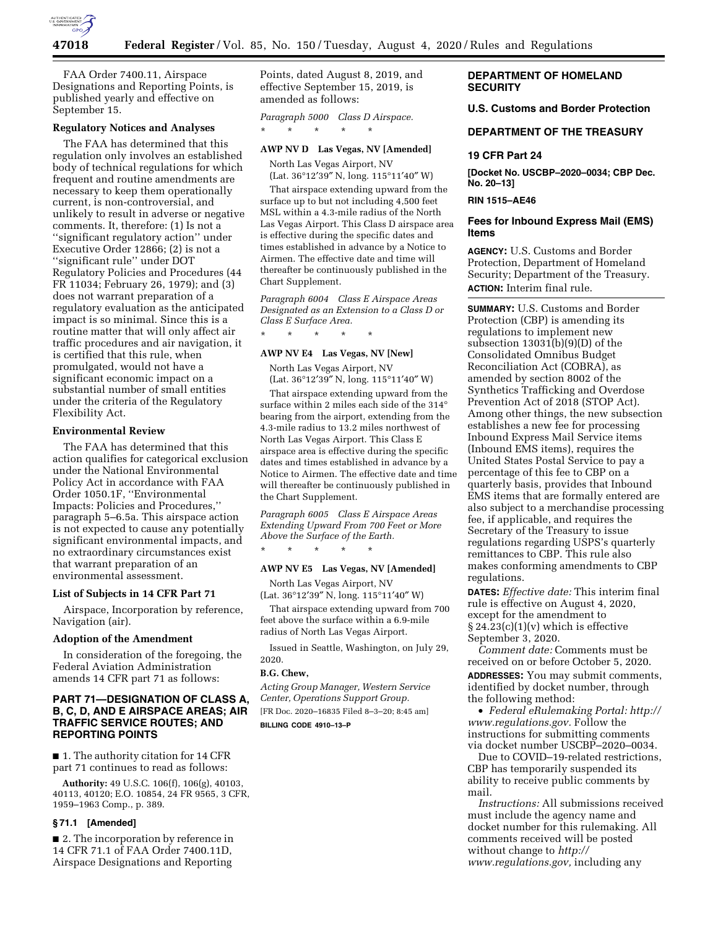

FAA Order 7400.11, Airspace Designations and Reporting Points, is published yearly and effective on September 15.

### **Regulatory Notices and Analyses**

The FAA has determined that this regulation only involves an established body of technical regulations for which frequent and routine amendments are necessary to keep them operationally current, is non-controversial, and unlikely to result in adverse or negative comments. It, therefore: (1) Is not a ''significant regulatory action'' under Executive Order 12866; (2) is not a ''significant rule'' under DOT Regulatory Policies and Procedures (44 FR 11034; February 26, 1979); and (3) does not warrant preparation of a regulatory evaluation as the anticipated impact is so minimal. Since this is a routine matter that will only affect air traffic procedures and air navigation, it is certified that this rule, when promulgated, would not have a significant economic impact on a substantial number of small entities under the criteria of the Regulatory Flexibility Act.

## **Environmental Review**

The FAA has determined that this action qualifies for categorical exclusion under the National Environmental Policy Act in accordance with FAA Order 1050.1F, ''Environmental Impacts: Policies and Procedures,'' paragraph 5–6.5a. This airspace action is not expected to cause any potentially significant environmental impacts, and no extraordinary circumstances exist that warrant preparation of an environmental assessment.

### **List of Subjects in 14 CFR Part 71**

Airspace, Incorporation by reference, Navigation (air).

### **Adoption of the Amendment**

In consideration of the foregoing, the Federal Aviation Administration amends 14 CFR part 71 as follows:

## **PART 71—DESIGNATION OF CLASS A, B, C, D, AND E AIRSPACE AREAS; AIR TRAFFIC SERVICE ROUTES; AND REPORTING POINTS**

■ 1. The authority citation for 14 CFR part 71 continues to read as follows:

**Authority:** 49 U.S.C. 106(f), 106(g), 40103, 40113, 40120; E.O. 10854, 24 FR 9565, 3 CFR, 1959–1963 Comp., p. 389.

## **§ 71.1 [Amended]**

■ 2. The incorporation by reference in 14 CFR 71.1 of FAA Order 7400.11D, Airspace Designations and Reporting

Points, dated August 8, 2019, and effective September 15, 2019, is amended as follows:

*Paragraph 5000 Class D Airspace.*  \* \* \* \* \*

# **AWP NV D Las Vegas, NV [Amended]**

North Las Vegas Airport, NV (Lat. 36°12′39″ N, long. 115°11′40″ W)

That airspace extending upward from the surface up to but not including 4,500 feet MSL within a 4.3-mile radius of the North Las Vegas Airport. This Class D airspace area is effective during the specific dates and times established in advance by a Notice to Airmen. The effective date and time will thereafter be continuously published in the Chart Supplement.

*Paragraph 6004 Class E Airspace Areas Designated as an Extension to a Class D or Class E Surface Area.* 

\* \* \* \* \*

## **AWP NV E4 Las Vegas, NV [New]**

North Las Vegas Airport, NV

(Lat. 36°12′39″ N, long. 115°11′40″ W) That airspace extending upward from the surface within 2 miles each side of the 314° bearing from the airport, extending from the 4.3-mile radius to 13.2 miles northwest of North Las Vegas Airport. This Class E airspace area is effective during the specific dates and times established in advance by a Notice to Airmen. The effective date and time will thereafter be continuously published in the Chart Supplement.

*Paragraph 6005 Class E Airspace Areas Extending Upward From 700 Feet or More Above the Surface of the Earth.*  \* \* \* \* \*

### **AWP NV E5 Las Vegas, NV [Amended]**

North Las Vegas Airport, NV (Lat. 36°12′39″ N, long. 115°11′40″ W)

That airspace extending upward from 700 feet above the surface within a 6.9-mile radius of North Las Vegas Airport.

Issued in Seattle, Washington, on July 29, 2020.

#### **B.G. Chew,**

*Acting Group Manager, Western Service Center, Operations Support Group.*  [FR Doc. 2020–16835 Filed 8–3–20; 8:45 am] **BILLING CODE 4910–13–P** 

## **DEPARTMENT OF HOMELAND SECURITY**

**U.S. Customs and Border Protection** 

### **DEPARTMENT OF THE TREASURY**

## **19 CFR Part 24**

**[Docket No. USCBP–2020–0034; CBP Dec. No. 20–13]** 

## **RIN 1515–AE46**

## **Fees for Inbound Express Mail (EMS) Items**

**AGENCY:** U.S. Customs and Border Protection, Department of Homeland Security; Department of the Treasury. **ACTION:** Interim final rule.

**SUMMARY:** U.S. Customs and Border Protection (CBP) is amending its regulations to implement new subsection 13031(b)(9)(D) of the Consolidated Omnibus Budget Reconciliation Act (COBRA), as amended by section 8002 of the Synthetics Trafficking and Overdose Prevention Act of 2018 (STOP Act). Among other things, the new subsection establishes a new fee for processing Inbound Express Mail Service items (Inbound EMS items), requires the United States Postal Service to pay a percentage of this fee to CBP on a quarterly basis, provides that Inbound EMS items that are formally entered are also subject to a merchandise processing fee, if applicable, and requires the Secretary of the Treasury to issue regulations regarding USPS's quarterly remittances to CBP. This rule also makes conforming amendments to CBP regulations.

**DATES:** *Effective date:* This interim final rule is effective on August 4, 2020, except for the amendment to  $§ 24.23(c)(1)(v)$  which is effective September 3, 2020.

*Comment date:* Comments must be received on or before October 5, 2020.

**ADDRESSES:** You may submit comments, identified by docket number, through the following method:

• *Federal eRulemaking Portal: [http://](http://www.regulations.gov)  [www.regulations.gov.](http://www.regulations.gov)* Follow the instructions for submitting comments via docket number USCBP–2020–0034.

Due to COVID–19-related restrictions, CBP has temporarily suspended its ability to receive public comments by mail.

*Instructions:* All submissions received must include the agency name and docket number for this rulemaking. All comments received will be posted without change to *[http://](http://www.regulations.gov) [www.regulations.gov,](http://www.regulations.gov)* including any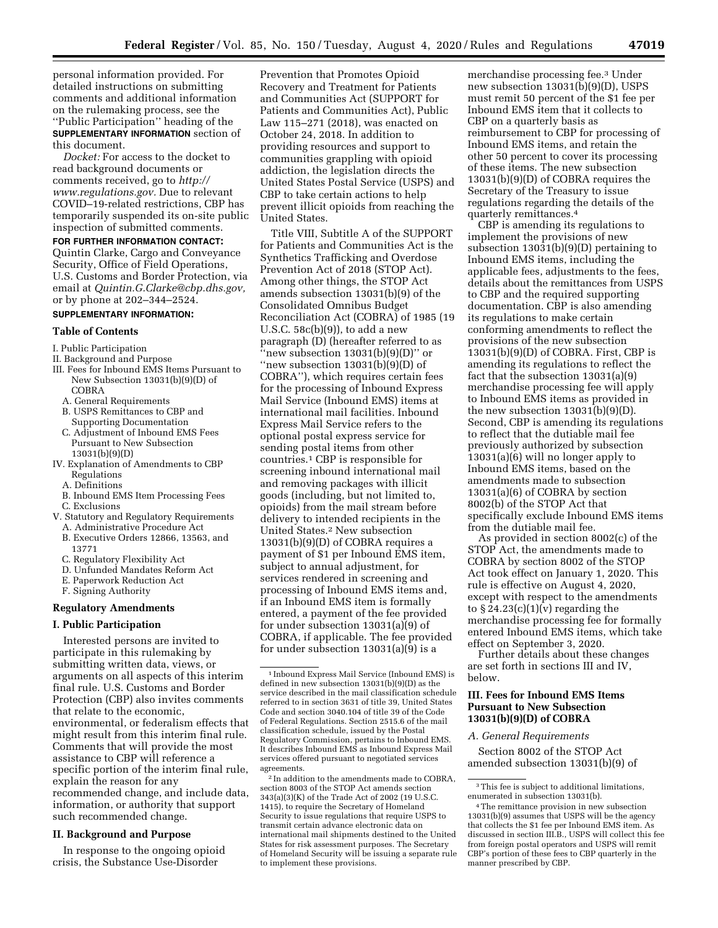personal information provided. For detailed instructions on submitting comments and additional information on the rulemaking process, see the ''Public Participation'' heading of the **SUPPLEMENTARY INFORMATION** section of this document.

*Docket:* For access to the docket to read background documents or comments received, go to *[http://](http://www.regulations.gov) [www.regulations.gov.](http://www.regulations.gov)* Due to relevant COVID–19-related restrictions, CBP has temporarily suspended its on-site public inspection of submitted comments.

**FOR FURTHER INFORMATION CONTACT:**  Quintin Clarke, Cargo and Conveyance Security, Office of Field Operations, U.S. Customs and Border Protection, via email at *[Quintin.G.Clarke@cbp.dhs.gov,](mailto:Quintin.G.Clarke@cbp.dhs.gov)*  or by phone at 202–344–2524.

### **SUPPLEMENTARY INFORMATION:**

### **Table of Contents**

- I. Public Participation
- II. Background and Purpose
- III. Fees for Inbound EMS Items Pursuant to New Subsection 13031(b)(9)(D) of COBRA
	- A. General Requirements
	- B. USPS Remittances to CBP and Supporting Documentation
	- C. Adjustment of Inbound EMS Fees Pursuant to New Subsection 13031(b)(9)(D)
- IV. Explanation of Amendments to CBP Regulations
	- A. Definitions
	- B. Inbound EMS Item Processing Fees C. Exclusions
- V. Statutory and Regulatory Requirements
	- A. Administrative Procedure Act
	- B. Executive Orders 12866, 13563, and 13771
	- C. Regulatory Flexibility Act
	- D. Unfunded Mandates Reform Act
	- E. Paperwork Reduction Act
	- F. Signing Authority

### **Regulatory Amendments**

## **I. Public Participation**

Interested persons are invited to participate in this rulemaking by submitting written data, views, or arguments on all aspects of this interim final rule. U.S. Customs and Border Protection (CBP) also invites comments that relate to the economic, environmental, or federalism effects that might result from this interim final rule. Comments that will provide the most assistance to CBP will reference a specific portion of the interim final rule, explain the reason for any recommended change, and include data, information, or authority that support such recommended change.

### **II. Background and Purpose**

In response to the ongoing opioid crisis, the Substance Use-Disorder

Prevention that Promotes Opioid Recovery and Treatment for Patients and Communities Act (SUPPORT for Patients and Communities Act), Public Law 115–271 (2018), was enacted on October 24, 2018. In addition to providing resources and support to communities grappling with opioid addiction, the legislation directs the United States Postal Service (USPS) and CBP to take certain actions to help prevent illicit opioids from reaching the United States.

Title VIII, Subtitle A of the SUPPORT for Patients and Communities Act is the Synthetics Trafficking and Overdose Prevention Act of 2018 (STOP Act). Among other things, the STOP Act amends subsection 13031(b)(9) of the Consolidated Omnibus Budget Reconciliation Act (COBRA) of 1985 (19 U.S.C. 58c(b)(9)), to add a new paragraph (D) (hereafter referred to as "new subsection  $13031(b)(9)(D)$ " or ''new subsection 13031(b)(9)(D) of COBRA''), which requires certain fees for the processing of Inbound Express Mail Service (Inbound EMS) items at international mail facilities. Inbound Express Mail Service refers to the optional postal express service for sending postal items from other countries.1 CBP is responsible for screening inbound international mail and removing packages with illicit goods (including, but not limited to, opioids) from the mail stream before delivery to intended recipients in the United States.2 New subsection 13031(b)(9)(D) of COBRA requires a payment of \$1 per Inbound EMS item, subject to annual adjustment, for services rendered in screening and processing of Inbound EMS items and, if an Inbound EMS item is formally entered, a payment of the fee provided for under subsection 13031(a)(9) of COBRA, if applicable. The fee provided for under subsection 13031(a)(9) is a

2 In addition to the amendments made to COBRA, section 8003 of the STOP Act amends section 343(a)(3)(K) of the Trade Act of 2002 (19 U.S.C. 1415), to require the Secretary of Homeland Security to issue regulations that require USPS to transmit certain advance electronic data on international mail shipments destined to the United States for risk assessment purposes. The Secretary of Homeland Security will be issuing a separate rule to implement these provisions.

merchandise processing fee.3 Under new subsection 13031(b)(9)(D), USPS must remit 50 percent of the \$1 fee per Inbound EMS item that it collects to CBP on a quarterly basis as reimbursement to CBP for processing of Inbound EMS items, and retain the other 50 percent to cover its processing of these items. The new subsection 13031(b)(9)(D) of COBRA requires the Secretary of the Treasury to issue regulations regarding the details of the quarterly remittances.4

CBP is amending its regulations to implement the provisions of new subsection 13031(b)(9)(D) pertaining to Inbound EMS items, including the applicable fees, adjustments to the fees, details about the remittances from USPS to CBP and the required supporting documentation. CBP is also amending its regulations to make certain conforming amendments to reflect the provisions of the new subsection 13031(b)(9)(D) of COBRA. First, CBP is amending its regulations to reflect the fact that the subsection 13031(a)(9) merchandise processing fee will apply to Inbound EMS items as provided in the new subsection  $13031(b)(9)(D)$ . Second, CBP is amending its regulations to reflect that the dutiable mail fee previously authorized by subsection 13031(a)(6) will no longer apply to Inbound EMS items, based on the amendments made to subsection 13031(a)(6) of COBRA by section 8002(b) of the STOP Act that specifically exclude Inbound EMS items from the dutiable mail fee.

As provided in section 8002(c) of the STOP Act, the amendments made to COBRA by section 8002 of the STOP Act took effect on January 1, 2020. This rule is effective on August 4, 2020, except with respect to the amendments to  $\S 24.23(c)(1)(v)$  regarding the merchandise processing fee for formally entered Inbound EMS items, which take effect on September 3, 2020.

Further details about these changes are set forth in sections III and IV, below.

## **III. Fees for Inbound EMS Items Pursuant to New Subsection 13031(b)(9)(D) of COBRA**

## *A. General Requirements*

Section 8002 of the STOP Act amended subsection 13031(b)(9) of

<sup>1</sup> Inbound Express Mail Service (Inbound EMS) is defined in new subsection 13031(b)(9)(D) as the service described in the mail classification schedule referred to in section 3631 of title 39, United States Code and section 3040.104 of title 39 of the Code of Federal Regulations. Section 2515.6 of the mail classification schedule, issued by the Postal Regulatory Commission, pertains to Inbound EMS. It describes Inbound EMS as Inbound Express Mail services offered pursuant to negotiated services agreements.

<sup>3</sup>This fee is subject to additional limitations, enumerated in subsection 13031(b).

<sup>4</sup>The remittance provision in new subsection 13031(b)(9) assumes that USPS will be the agency that collects the \$1 fee per Inbound EMS item. As discussed in section III.B., USPS will collect this fee from foreign postal operators and USPS will remit CBP's portion of these fees to CBP quarterly in the manner prescribed by CBP.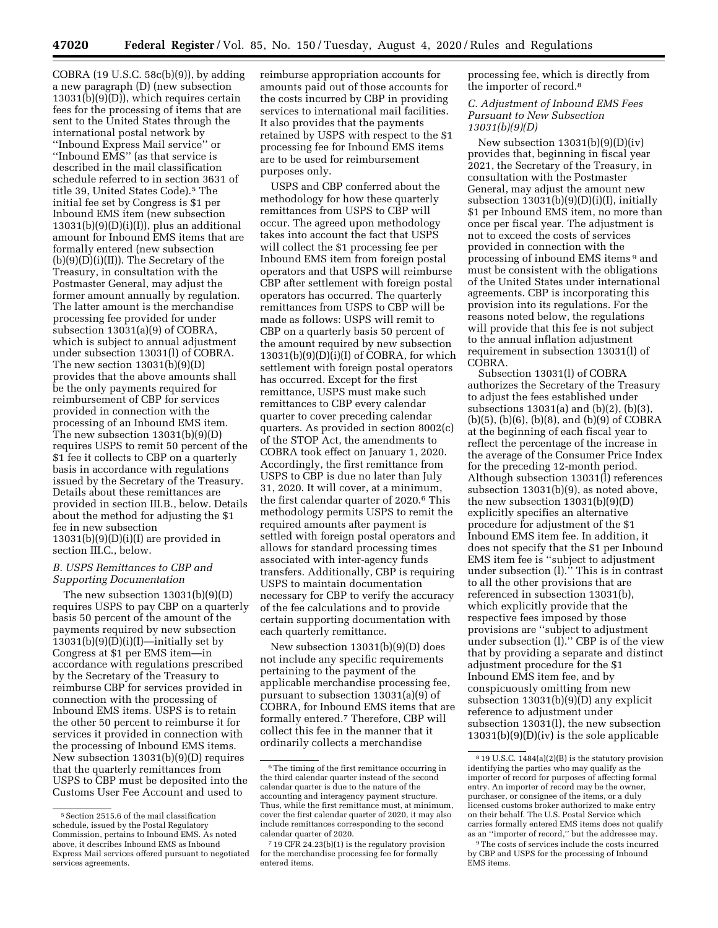COBRA (19 U.S.C. 58c(b)(9)), by adding a new paragraph (D) (new subsection 13031(b)(9)(D)), which requires certain fees for the processing of items that are sent to the United States through the international postal network by ''Inbound Express Mail service'' or ''Inbound EMS'' (as that service is described in the mail classification schedule referred to in section 3631 of title 39, United States Code).<sup>5</sup> The initial fee set by Congress is \$1 per Inbound EMS item (new subsection  $13031(b)(9)(D)(i)(I))$ , plus an additional amount for Inbound EMS items that are formally entered (new subsection  $(b)(9)(D)(i)(II))$ . The Secretary of the Treasury, in consultation with the Postmaster General, may adjust the former amount annually by regulation. The latter amount is the merchandise processing fee provided for under subsection 13031(a)(9) of COBRA, which is subject to annual adjustment under subsection 13031(l) of COBRA. The new section  $13031(b)(9)(D)$ provides that the above amounts shall be the only payments required for reimbursement of CBP for services provided in connection with the processing of an Inbound EMS item. The new subsection 13031(b)(9)(D) requires USPS to remit 50 percent of the \$1 fee it collects to CBP on a quarterly basis in accordance with regulations issued by the Secretary of the Treasury. Details about these remittances are provided in section III.B., below. Details about the method for adjusting the \$1 fee in new subsection  $13031(b)(9)(D)(i)(I)$  are provided in section III.C., below.

## *B. USPS Remittances to CBP and Supporting Documentation*

The new subsection 13031(b)(9)(D) requires USPS to pay CBP on a quarterly basis 50 percent of the amount of the payments required by new subsection  $13031(b)(9)(D)(i)(I)$ —initially set by Congress at \$1 per EMS item—in accordance with regulations prescribed by the Secretary of the Treasury to reimburse CBP for services provided in connection with the processing of Inbound EMS items. USPS is to retain the other 50 percent to reimburse it for services it provided in connection with the processing of Inbound EMS items. New subsection 13031(b)(9)(D) requires that the quarterly remittances from USPS to CBP must be deposited into the Customs User Fee Account and used to

reimburse appropriation accounts for amounts paid out of those accounts for the costs incurred by CBP in providing services to international mail facilities. It also provides that the payments retained by USPS with respect to the \$1 processing fee for Inbound EMS items are to be used for reimbursement purposes only.

USPS and CBP conferred about the methodology for how these quarterly remittances from USPS to CBP will occur. The agreed upon methodology takes into account the fact that USPS will collect the \$1 processing fee per Inbound EMS item from foreign postal operators and that USPS will reimburse CBP after settlement with foreign postal operators has occurred. The quarterly remittances from USPS to CBP will be made as follows: USPS will remit to CBP on a quarterly basis 50 percent of the amount required by new subsection  $13031(b)(9)(D)(i)(I)$  of COBRA, for which settlement with foreign postal operators has occurred. Except for the first remittance, USPS must make such remittances to CBP every calendar quarter to cover preceding calendar quarters. As provided in section 8002(c) of the STOP Act, the amendments to COBRA took effect on January 1, 2020. Accordingly, the first remittance from USPS to CBP is due no later than July 31, 2020. It will cover, at a minimum, the first calendar quarter of 2020.6 This methodology permits USPS to remit the required amounts after payment is settled with foreign postal operators and allows for standard processing times associated with inter-agency funds transfers. Additionally, CBP is requiring USPS to maintain documentation necessary for CBP to verify the accuracy of the fee calculations and to provide certain supporting documentation with each quarterly remittance.

New subsection 13031(b)(9)(D) does not include any specific requirements pertaining to the payment of the applicable merchandise processing fee, pursuant to subsection 13031(a)(9) of COBRA, for Inbound EMS items that are formally entered.7 Therefore, CBP will collect this fee in the manner that it ordinarily collects a merchandise

processing fee, which is directly from the importer of record.8

### *C. Adjustment of Inbound EMS Fees Pursuant to New Subsection 13031(b)(9)(D)*

New subsection 13031(b)(9)(D)(iv) provides that, beginning in fiscal year 2021, the Secretary of the Treasury, in consultation with the Postmaster General, may adjust the amount new subsection 13031(b)(9)(D)(i)(I), initially \$1 per Inbound EMS item, no more than once per fiscal year. The adjustment is not to exceed the costs of services provided in connection with the processing of inbound EMS items 9 and must be consistent with the obligations of the United States under international agreements. CBP is incorporating this provision into its regulations. For the reasons noted below, the regulations will provide that this fee is not subject to the annual inflation adjustment requirement in subsection 13031(l) of COBRA.

Subsection 13031(l) of COBRA authorizes the Secretary of the Treasury to adjust the fees established under subsections 13031(a) and (b)(2), (b)(3), (b)(5), (b)(6), (b)(8), and (b)(9) of COBRA at the beginning of each fiscal year to reflect the percentage of the increase in the average of the Consumer Price Index for the preceding 12-month period. Although subsection 13031(l) references subsection 13031(b)(9), as noted above, the new subsection 13031(b)(9)(D) explicitly specifies an alternative procedure for adjustment of the \$1 Inbound EMS item fee. In addition, it does not specify that the \$1 per Inbound EMS item fee is ''subject to adjustment under subsection (l).'' This is in contrast to all the other provisions that are referenced in subsection 13031(b), which explicitly provide that the respective fees imposed by those provisions are ''subject to adjustment under subsection (l).'' CBP is of the view that by providing a separate and distinct adjustment procedure for the \$1 Inbound EMS item fee, and by conspicuously omitting from new subsection 13031(b)(9)(D) any explicit reference to adjustment under subsection 13031(l), the new subsection 13031(b)(9)(D)(iv) is the sole applicable

<sup>5</sup>Section 2515.6 of the mail classification schedule, issued by the Postal Regulatory Commission, pertains to Inbound EMS. As noted above, it describes Inbound EMS as Inbound Express Mail services offered pursuant to negotiated services agreements.

<sup>6</sup>The timing of the first remittance occurring in the third calendar quarter instead of the second calendar quarter is due to the nature of the accounting and interagency payment structure. Thus, while the first remittance must, at minimum, cover the first calendar quarter of 2020, it may also include remittances corresponding to the second calendar quarter of 2020.

<sup>7</sup> 19 CFR 24.23(b)(1) is the regulatory provision for the merchandise processing fee for formally entered items.

<sup>8</sup> 19 U.S.C. 1484(a)(2)(B) is the statutory provision identifying the parties who may qualify as the importer of record for purposes of affecting formal entry. An importer of record may be the owner, purchaser, or consignee of the items, or a duly licensed customs broker authorized to make entry on their behalf. The U.S. Postal Service which carries formally entered EMS items does not qualify as an ''importer of record,'' but the addressee may.

<sup>9</sup>The costs of services include the costs incurred by CBP and USPS for the processing of Inbound EMS items.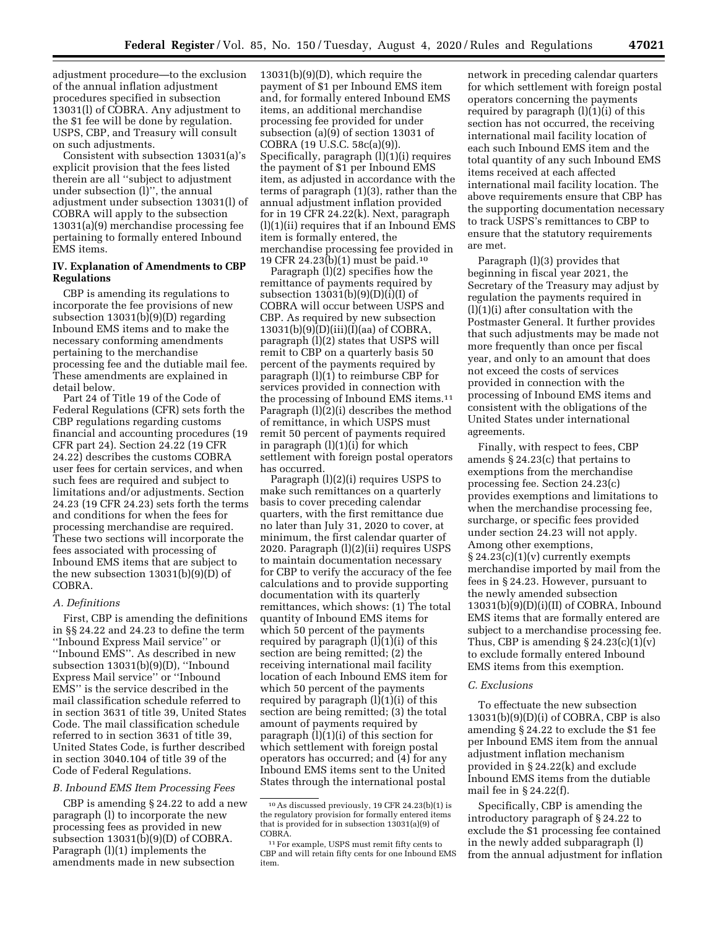adjustment procedure—to the exclusion of the annual inflation adjustment procedures specified in subsection 13031(l) of COBRA. Any adjustment to the \$1 fee will be done by regulation. USPS, CBP, and Treasury will consult on such adjustments.

Consistent with subsection 13031(a)'s explicit provision that the fees listed therein are all ''subject to adjustment under subsection (l)'', the annual adjustment under subsection 13031(l) of COBRA will apply to the subsection 13031(a)(9) merchandise processing fee pertaining to formally entered Inbound EMS items.

## **IV. Explanation of Amendments to CBP Regulations**

CBP is amending its regulations to incorporate the fee provisions of new subsection 13031(b)(9)(D) regarding Inbound EMS items and to make the necessary conforming amendments pertaining to the merchandise processing fee and the dutiable mail fee. These amendments are explained in detail below.

Part 24 of Title 19 of the Code of Federal Regulations (CFR) sets forth the CBP regulations regarding customs financial and accounting procedures (19 CFR part 24). Section 24.22 (19 CFR 24.22) describes the customs COBRA user fees for certain services, and when such fees are required and subject to limitations and/or adjustments. Section 24.23 (19 CFR 24.23) sets forth the terms and conditions for when the fees for processing merchandise are required. These two sections will incorporate the fees associated with processing of Inbound EMS items that are subject to the new subsection 13031(b)(9)(D) of COBRA.

### *A. Definitions*

First, CBP is amending the definitions in §§ 24.22 and 24.23 to define the term ''Inbound Express Mail service'' or ''Inbound EMS''. As described in new subsection 13031(b)(9)(D), ''Inbound Express Mail service'' or ''Inbound EMS'' is the service described in the mail classification schedule referred to in section 3631 of title 39, United States Code. The mail classification schedule referred to in section 3631 of title 39, United States Code, is further described in section 3040.104 of title 39 of the Code of Federal Regulations.

### *B. Inbound EMS Item Processing Fees*

CBP is amending § 24.22 to add a new paragraph (l) to incorporate the new processing fees as provided in new subsection  $13031(b)(9)(D)$  of COBRA. Paragraph (l)(1) implements the amendments made in new subsection

13031(b)(9)(D), which require the payment of \$1 per Inbound EMS item and, for formally entered Inbound EMS items, an additional merchandise processing fee provided for under subsection (a)(9) of section 13031 of COBRA (19 U.S.C. 58c(a)(9)). Specifically, paragraph (l)(1)(i) requires the payment of \$1 per Inbound EMS item, as adjusted in accordance with the terms of paragraph (1)(3), rather than the annual adjustment inflation provided for in 19 CFR 24.22(k). Next, paragraph  $(l)(1)(ii)$  requires that if an Inbound EMS item is formally entered, the merchandise processing fee provided in 19 CFR 24.23(b)(1) must be paid.10

Paragraph (l)(2) specifies how the remittance of payments required by subsection  $13031(b)(9)(D)(i)(I)$  of COBRA will occur between USPS and CBP. As required by new subsection 13031(b)(9)(D)(iii)(I)(aa) of COBRA, paragraph (l)(2) states that USPS will remit to CBP on a quarterly basis 50 percent of the payments required by paragraph (l)(1) to reimburse CBP for services provided in connection with the processing of Inbound EMS items.11 Paragraph (l)(2)(i) describes the method of remittance, in which USPS must remit 50 percent of payments required in paragraph (l)(1)(i) for which settlement with foreign postal operators has occurred.

Paragraph (l)(2)(i) requires USPS to make such remittances on a quarterly basis to cover preceding calendar quarters, with the first remittance due no later than July 31, 2020 to cover, at minimum, the first calendar quarter of 2020. Paragraph (l)(2)(ii) requires USPS to maintain documentation necessary for CBP to verify the accuracy of the fee calculations and to provide supporting documentation with its quarterly remittances, which shows: (1) The total quantity of Inbound EMS items for which 50 percent of the payments required by paragraph (l)(1)(i) of this section are being remitted; (2) the receiving international mail facility location of each Inbound EMS item for which 50 percent of the payments required by paragraph (l)(1)(i) of this section are being remitted; (3) the total amount of payments required by paragraph (l)(1)(i) of this section for which settlement with foreign postal operators has occurred; and (4) for any Inbound EMS items sent to the United States through the international postal

network in preceding calendar quarters for which settlement with foreign postal operators concerning the payments required by paragraph  $(l)(1)(i)$  of this section has not occurred, the receiving international mail facility location of each such Inbound EMS item and the total quantity of any such Inbound EMS items received at each affected international mail facility location. The above requirements ensure that CBP has the supporting documentation necessary to track USPS's remittances to CBP to ensure that the statutory requirements are met.

Paragraph (l)(3) provides that beginning in fiscal year 2021, the Secretary of the Treasury may adjust by regulation the payments required in (l)(1)(i) after consultation with the Postmaster General. It further provides that such adjustments may be made not more frequently than once per fiscal year, and only to an amount that does not exceed the costs of services provided in connection with the processing of Inbound EMS items and consistent with the obligations of the United States under international agreements.

Finally, with respect to fees, CBP amends § 24.23(c) that pertains to exemptions from the merchandise processing fee. Section 24.23(c) provides exemptions and limitations to when the merchandise processing fee, surcharge, or specific fees provided under section 24.23 will not apply. Among other exemptions,  $§ 24.23(c)(1)(v)$  currently exempts merchandise imported by mail from the fees in § 24.23. However, pursuant to the newly amended subsection 13031(b)(9)(D)(i)(II) of COBRA, Inbound EMS items that are formally entered are subject to a merchandise processing fee. Thus, CBP is amending  $\S 24.23(c)(1)(v)$ to exclude formally entered Inbound EMS items from this exemption.

### *C. Exclusions*

To effectuate the new subsection 13031(b)(9)(D)(i) of COBRA, CBP is also amending § 24.22 to exclude the \$1 fee per Inbound EMS item from the annual adjustment inflation mechanism provided in § 24.22(k) and exclude Inbound EMS items from the dutiable mail fee in § 24.22(f).

Specifically, CBP is amending the introductory paragraph of § 24.22 to exclude the \$1 processing fee contained in the newly added subparagraph (l) from the annual adjustment for inflation

<sup>10</sup>As discussed previously, 19 CFR 24.23(b)(1) is the regulatory provision for formally entered items that is provided for in subsection 13031(a)(9) of COBRA.

<sup>11</sup>For example, USPS must remit fifty cents to CBP and will retain fifty cents for one Inbound EMS item.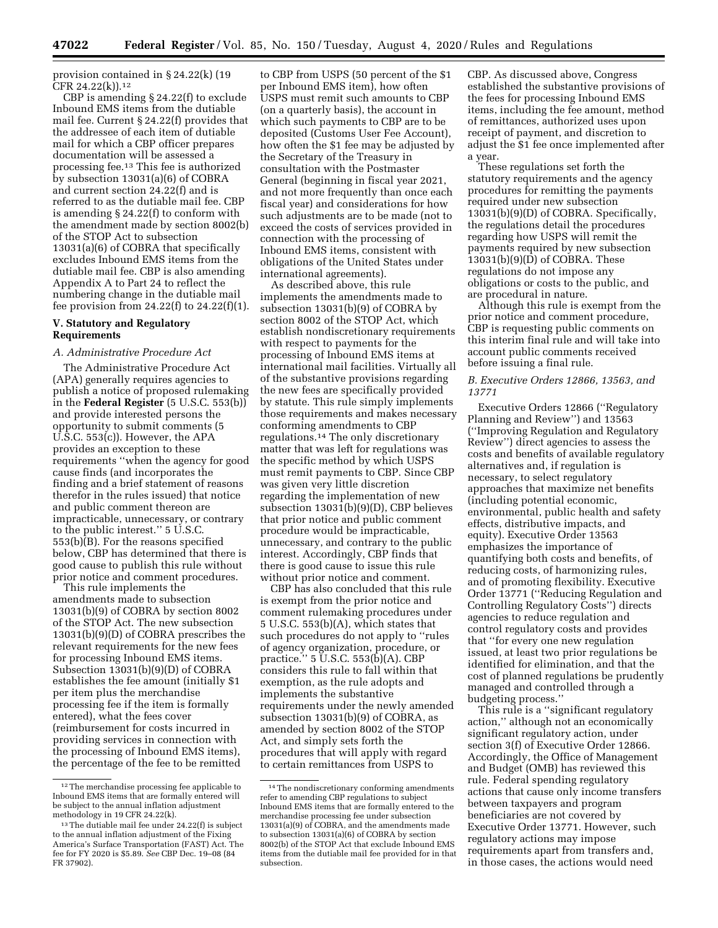provision contained in § 24.22(k) (19 CFR 24.22(k)).12

CBP is amending § 24.22(f) to exclude Inbound EMS items from the dutiable mail fee. Current § 24.22(f) provides that the addressee of each item of dutiable mail for which a CBP officer prepares documentation will be assessed a processing fee.13 This fee is authorized by subsection 13031(a)(6) of COBRA and current section 24.22(f) and is referred to as the dutiable mail fee. CBP is amending § 24.22(f) to conform with the amendment made by section 8002(b) of the STOP Act to subsection 13031(a)(6) of COBRA that specifically excludes Inbound EMS items from the dutiable mail fee. CBP is also amending Appendix A to Part 24 to reflect the numbering change in the dutiable mail fee provision from  $24.22(f)$  to  $24.22(f)(1)$ .

### **V. Statutory and Regulatory Requirements**

## *A. Administrative Procedure Act*

The Administrative Procedure Act (APA) generally requires agencies to publish a notice of proposed rulemaking in the **Federal Register** (5 U.S.C. 553(b)) and provide interested persons the opportunity to submit comments (5 U.S.C. 553(c)). However, the APA provides an exception to these requirements ''when the agency for good cause finds (and incorporates the finding and a brief statement of reasons therefor in the rules issued) that notice and public comment thereon are impracticable, unnecessary, or contrary to the public interest.'' 5 U.S.C. 553(b)(B). For the reasons specified below, CBP has determined that there is good cause to publish this rule without prior notice and comment procedures.

This rule implements the amendments made to subsection 13031(b)(9) of COBRA by section 8002 of the STOP Act. The new subsection 13031(b)(9)(D) of COBRA prescribes the relevant requirements for the new fees for processing Inbound EMS items. Subsection 13031(b)(9)(D) of COBRA establishes the fee amount (initially \$1 per item plus the merchandise processing fee if the item is formally entered), what the fees cover (reimbursement for costs incurred in providing services in connection with the processing of Inbound EMS items), the percentage of the fee to be remitted

to CBP from USPS (50 percent of the \$1 per Inbound EMS item), how often USPS must remit such amounts to CBP (on a quarterly basis), the account in which such payments to CBP are to be deposited (Customs User Fee Account), how often the \$1 fee may be adjusted by the Secretary of the Treasury in consultation with the Postmaster General (beginning in fiscal year 2021, and not more frequently than once each fiscal year) and considerations for how such adjustments are to be made (not to exceed the costs of services provided in connection with the processing of Inbound EMS items, consistent with obligations of the United States under international agreements).

As described above, this rule implements the amendments made to subsection 13031(b)(9) of COBRA by section 8002 of the STOP Act, which establish nondiscretionary requirements with respect to payments for the processing of Inbound EMS items at international mail facilities. Virtually all of the substantive provisions regarding the new fees are specifically provided by statute. This rule simply implements those requirements and makes necessary conforming amendments to CBP regulations.14 The only discretionary matter that was left for regulations was the specific method by which USPS must remit payments to CBP. Since CBP was given very little discretion regarding the implementation of new subsection 13031(b)(9)(D), CBP believes that prior notice and public comment procedure would be impracticable, unnecessary, and contrary to the public interest. Accordingly, CBP finds that there is good cause to issue this rule without prior notice and comment.

CBP has also concluded that this rule is exempt from the prior notice and comment rulemaking procedures under 5 U.S.C. 553(b)(A), which states that such procedures do not apply to ''rules of agency organization, procedure, or practice.'' 5 U.S.C. 553(b)(A). CBP considers this rule to fall within that exemption, as the rule adopts and implements the substantive requirements under the newly amended subsection 13031(b)(9) of COBRA, as amended by section 8002 of the STOP Act, and simply sets forth the procedures that will apply with regard to certain remittances from USPS to

CBP. As discussed above, Congress established the substantive provisions of the fees for processing Inbound EMS items, including the fee amount, method of remittances, authorized uses upon receipt of payment, and discretion to adjust the \$1 fee once implemented after a year.

These regulations set forth the statutory requirements and the agency procedures for remitting the payments required under new subsection 13031(b)(9)(D) of COBRA. Specifically, the regulations detail the procedures regarding how USPS will remit the payments required by new subsection 13031(b)(9)(D) of COBRA. These regulations do not impose any obligations or costs to the public, and are procedural in nature.

Although this rule is exempt from the prior notice and comment procedure, CBP is requesting public comments on this interim final rule and will take into account public comments received before issuing a final rule.

## *B. Executive Orders 12866, 13563, and 13771*

Executive Orders 12866 (''Regulatory Planning and Review'') and 13563 (''Improving Regulation and Regulatory Review'') direct agencies to assess the costs and benefits of available regulatory alternatives and, if regulation is necessary, to select regulatory approaches that maximize net benefits (including potential economic, environmental, public health and safety effects, distributive impacts, and equity). Executive Order 13563 emphasizes the importance of quantifying both costs and benefits, of reducing costs, of harmonizing rules, and of promoting flexibility. Executive Order 13771 (''Reducing Regulation and Controlling Regulatory Costs'') directs agencies to reduce regulation and control regulatory costs and provides that ''for every one new regulation issued, at least two prior regulations be identified for elimination, and that the cost of planned regulations be prudently managed and controlled through a budgeting process.''

This rule is a ''significant regulatory action,'' although not an economically significant regulatory action, under section 3(f) of Executive Order 12866. Accordingly, the Office of Management and Budget (OMB) has reviewed this rule. Federal spending regulatory actions that cause only income transfers between taxpayers and program beneficiaries are not covered by Executive Order 13771. However, such regulatory actions may impose requirements apart from transfers and, in those cases, the actions would need

 $^{12}\mathrm{The}\,$  merchandise processing fee applicable to Inbound EMS items that are formally entered will be subject to the annual inflation adjustment methodology in 19 CFR 24.22(k).

<sup>13</sup>The dutiable mail fee under 24.22(f) is subject to the annual inflation adjustment of the Fixing America's Surface Transportation (FAST) Act. The fee for FY 2020 is \$5.89. *See* CBP Dec. 19–08 (84 FR 37902).

<sup>14</sup>The nondiscretionary conforming amendments refer to amending CBP regulations to subject Inbound EMS items that are formally entered to the merchandise processing fee under subsection 13031(a)(9) of COBRA, and the amendments made to subsection 13031(a)(6) of COBRA by section 8002(b) of the STOP Act that exclude Inbound EMS items from the dutiable mail fee provided for in that subsection.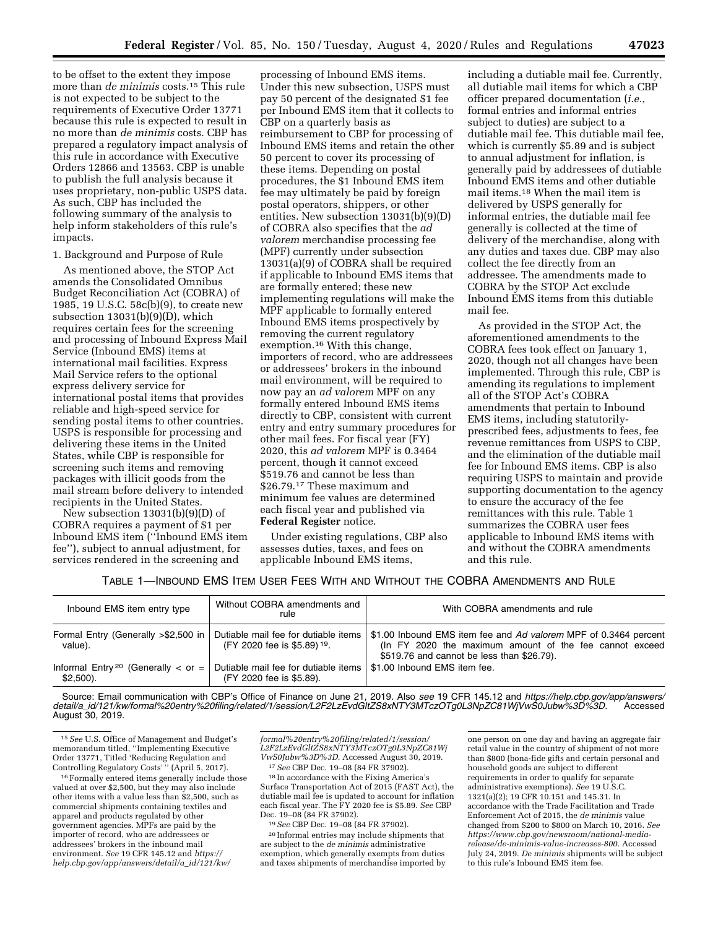to be offset to the extent they impose more than *de minimis* costs.15 This rule is not expected to be subject to the requirements of Executive Order 13771 because this rule is expected to result in no more than *de minimis* costs. CBP has prepared a regulatory impact analysis of this rule in accordance with Executive Orders 12866 and 13563. CBP is unable to publish the full analysis because it uses proprietary, non-public USPS data. As such, CBP has included the following summary of the analysis to help inform stakeholders of this rule's impacts.

#### 1. Background and Purpose of Rule

As mentioned above, the STOP Act amends the Consolidated Omnibus Budget Reconciliation Act (COBRA) of 1985, 19 U.S.C. 58c(b)(9), to create new subsection 13031(b)(9)(D), which requires certain fees for the screening and processing of Inbound Express Mail Service (Inbound EMS) items at international mail facilities. Express Mail Service refers to the optional express delivery service for international postal items that provides reliable and high-speed service for sending postal items to other countries. USPS is responsible for processing and delivering these items in the United States, while CBP is responsible for screening such items and removing packages with illicit goods from the mail stream before delivery to intended recipients in the United States.

New subsection 13031(b)(9)(D) of COBRA requires a payment of \$1 per Inbound EMS item (''Inbound EMS item fee''), subject to annual adjustment, for services rendered in the screening and

processing of Inbound EMS items. Under this new subsection, USPS must pay 50 percent of the designated \$1 fee per Inbound EMS item that it collects to CBP on a quarterly basis as reimbursement to CBP for processing of Inbound EMS items and retain the other 50 percent to cover its processing of these items. Depending on postal procedures, the \$1 Inbound EMS item fee may ultimately be paid by foreign postal operators, shippers, or other entities. New subsection 13031(b)(9)(D) of COBRA also specifies that the *ad valorem* merchandise processing fee (MPF) currently under subsection 13031(a)(9) of COBRA shall be required if applicable to Inbound EMS items that are formally entered; these new implementing regulations will make the MPF applicable to formally entered Inbound EMS items prospectively by removing the current regulatory exemption.16 With this change, importers of record, who are addressees or addressees' brokers in the inbound mail environment, will be required to now pay an *ad valorem* MPF on any formally entered Inbound EMS items directly to CBP, consistent with current entry and entry summary procedures for other mail fees. For fiscal year (FY) 2020, this *ad valorem* MPF is 0.3464 percent, though it cannot exceed \$519.76 and cannot be less than \$26.79.17 These maximum and minimum fee values are determined each fiscal year and published via **Federal Register** notice.

Under existing regulations, CBP also assesses duties, taxes, and fees on applicable Inbound EMS items,

including a dutiable mail fee. Currently, all dutiable mail items for which a CBP officer prepared documentation (*i.e.,*  formal entries and informal entries subject to duties) are subject to a dutiable mail fee. This dutiable mail fee, which is currently \$5.89 and is subject to annual adjustment for inflation, is generally paid by addressees of dutiable Inbound EMS items and other dutiable mail items.18 When the mail item is delivered by USPS generally for informal entries, the dutiable mail fee generally is collected at the time of delivery of the merchandise, along with any duties and taxes due. CBP may also collect the fee directly from an addressee. The amendments made to COBRA by the STOP Act exclude Inbound EMS items from this dutiable mail fee.

As provided in the STOP Act, the aforementioned amendments to the COBRA fees took effect on January 1, 2020, though not all changes have been implemented. Through this rule, CBP is amending its regulations to implement all of the STOP Act's COBRA amendments that pertain to Inbound EMS items, including statutorilyprescribed fees, adjustments to fees, fee revenue remittances from USPS to CBP, and the elimination of the dutiable mail fee for Inbound EMS items. CBP is also requiring USPS to maintain and provide supporting documentation to the agency to ensure the accuracy of the fee remittances with this rule. Table 1 summarizes the COBRA user fees applicable to Inbound EMS items with and without the COBRA amendments and this rule.

## TABLE 1—INBOUND EMS ITEM USER FEES WITH AND WITHOUT THE COBRA AMENDMENTS AND RULE

| Inbound EMS item entry type                                         | Without COBRA amendments and<br>rule                                            | With COBRA amendments and rule                                                                                                                                            |
|---------------------------------------------------------------------|---------------------------------------------------------------------------------|---------------------------------------------------------------------------------------------------------------------------------------------------------------------------|
| Formal Entry (Generally >\$2,500 in<br>value).                      | Dutiable mail fee for dutiable items<br>(FY 2020 fee is \$5.89) <sup>19</sup> . | \$1.00 Inbound EMS item fee and Ad valorem MPF of 0.3464 percent<br>(In FY 2020 the maximum amount of the fee cannot exceed<br>\$519.76 and cannot be less than \$26.79). |
| Informal Entry <sup>20</sup> (Generally $\lt$ or $=$<br>$$2,500$ ). | Dutiable mail fee for dutiable items<br>(FY 2020 fee is \$5.89).                | \$1.00 Inbound EMS item fee.                                                                                                                                              |

Source: Email communication with CBP's Office of Finance on June 21, 2019. Also *see* 19 CFR 145.12 and *[https://help.cbp.gov/app/answers/](https://help.cbp.gov/app/answers/detail/a_id/121/kw/formal%20entry%20filing/related/1/session/L2F2LzEvdGltZS8xNTY3MTczOTg0L3NpZC81WjVwS0Jubw%3D%3D)  detail/a*\_*[id/121/kw/formal%20entry%20filing/related/1/session/L2F2LzEvdGltZS8xNTY3MTczOTg0L3NpZC81WjVwS0Jubw%3D%3D.](https://help.cbp.gov/app/answers/detail/a_id/121/kw/formal%20entry%20filing/related/1/session/L2F2LzEvdGltZS8xNTY3MTczOTg0L3NpZC81WjVwS0Jubw%3D%3D)* Accessed August 30, 2019.

15*See* U.S. Office of Management and Budget's memorandum titled, ''Implementing Executive Order 13771, Titled 'Reducing Regulation and Controlling Regulatory Costs'" (April 5, 2017).

16Formally entered items generally include those valued at over \$2,500, but they may also include other items with a value less than \$2,500, such as commercial shipments containing textiles and apparel and products regulated by other government agencies. MPFs are paid by the importer of record, who are addressees or addressees' brokers in the inbound mail environment. *See* 19 CFR 145.12 and *[https://](https://help.cbp.gov/app/answers/detail/a_id/121/kw/formal%20entry%20filing/related/1/session/L2F2LzEvdGltZS8xNTY3MTczOTg0L3NpZC81WjVwS0Jubw%3D%3D) [help.cbp.gov/app/answers/detail/a](https://help.cbp.gov/app/answers/detail/a_id/121/kw/formal%20entry%20filing/related/1/session/L2F2LzEvdGltZS8xNTY3MTczOTg0L3NpZC81WjVwS0Jubw%3D%3D)*\_*id/121/kw/* 

*[formal%20entry%20filing/related/1/session/](https://help.cbp.gov/app/answers/detail/a_id/121/kw/formal%20entry%20filing/related/1/session/L2F2LzEvdGltZS8xNTY3MTczOTg0L3NpZC81WjVwS0Jubw%3D%3D) [L2F2LzEvdGltZS8xNTY3MTczOTg0L3NpZC81Wj](https://help.cbp.gov/app/answers/detail/a_id/121/kw/formal%20entry%20filing/related/1/session/L2F2LzEvdGltZS8xNTY3MTczOTg0L3NpZC81WjVwS0Jubw%3D%3D)*

 $^{17}See$  GBP Dec. 19–08 (84 FR 37902).  $^{18}$  In accordance with the Fixing America's

Surface Transportation Act of 2015 (FAST Act), the dutiable mail fee is updated to account for inflation each fiscal year. The FY 2020 fee is \$5.89. *See* CBP Dec. 19–08 (84 FR 37902). 19*See* CBP Dec. 19–08 (84 FR 37902).

20 Informal entries may include shipments that are subject to the *de minimis* administrative exemption, which generally exempts from duties and taxes shipments of merchandise imported by one person on one day and having an aggregate fair retail value in the country of shipment of not more than \$800 (bona-fide gifts and certain personal and household goods are subject to different requirements in order to qualify for separate administrative exemptions). *See* 19 U.S.C. 1321(a)(2); 19 CFR 10.151 and 145.31. In accordance with the Trade Facilitation and Trade Enforcement Act of 2015, the *de minimis* value changed from \$200 to \$800 on March 10, 2016. *See [https://www.cbp.gov/newsroom/national-media](https://www.cbp.gov/newsroom/national-media-release/de-minimis-value-increases-800)[release/de-minimis-value-increases-800.](https://www.cbp.gov/newsroom/national-media-release/de-minimis-value-increases-800)* Accessed July 24, 2019. *De minimis* shipments will be subject to this rule's Inbound EMS item fee.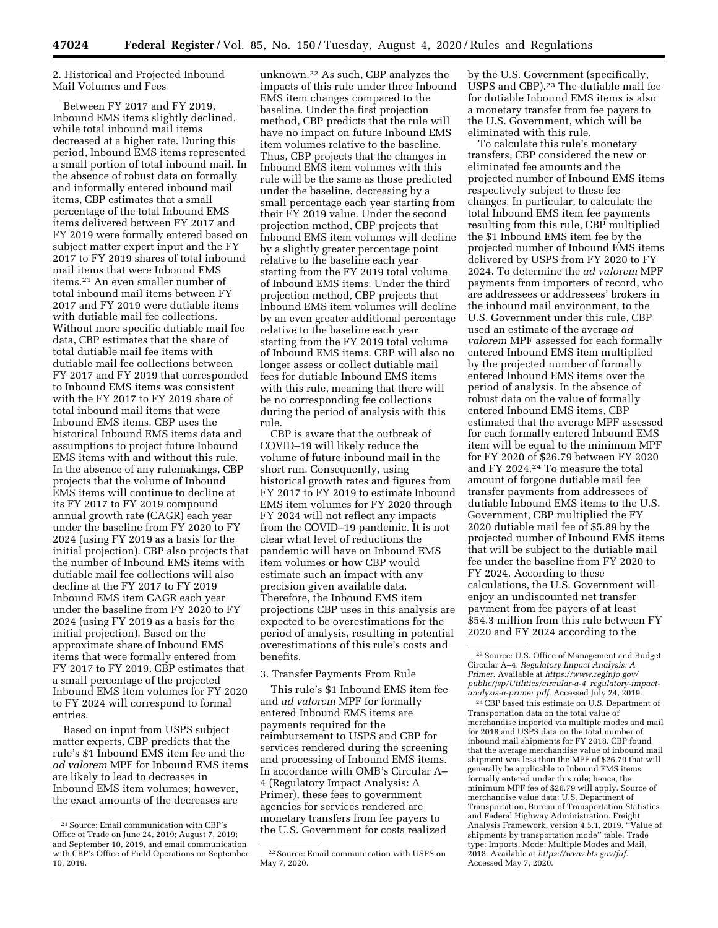## 2. Historical and Projected Inbound Mail Volumes and Fees

Between FY 2017 and FY 2019, Inbound EMS items slightly declined, while total inbound mail items decreased at a higher rate. During this period, Inbound EMS items represented a small portion of total inbound mail. In the absence of robust data on formally and informally entered inbound mail items, CBP estimates that a small percentage of the total Inbound EMS items delivered between FY 2017 and FY 2019 were formally entered based on subject matter expert input and the FY 2017 to FY 2019 shares of total inbound mail items that were Inbound EMS items.21 An even smaller number of total inbound mail items between FY 2017 and FY 2019 were dutiable items with dutiable mail fee collections. Without more specific dutiable mail fee data, CBP estimates that the share of total dutiable mail fee items with dutiable mail fee collections between FY 2017 and FY 2019 that corresponded to Inbound EMS items was consistent with the FY 2017 to FY 2019 share of total inbound mail items that were Inbound EMS items. CBP uses the historical Inbound EMS items data and assumptions to project future Inbound EMS items with and without this rule. In the absence of any rulemakings, CBP projects that the volume of Inbound EMS items will continue to decline at its FY 2017 to FY 2019 compound annual growth rate (CAGR) each year under the baseline from FY 2020 to FY 2024 (using FY 2019 as a basis for the initial projection). CBP also projects that the number of Inbound EMS items with dutiable mail fee collections will also decline at the FY 2017 to FY 2019 Inbound EMS item CAGR each year under the baseline from FY 2020 to FY 2024 (using FY 2019 as a basis for the initial projection). Based on the approximate share of Inbound EMS items that were formally entered from FY 2017 to FY 2019, CBP estimates that a small percentage of the projected Inbound EMS item volumes for FY 2020 to FY 2024 will correspond to formal entries.

Based on input from USPS subject matter experts, CBP predicts that the rule's \$1 Inbound EMS item fee and the *ad valorem* MPF for Inbound EMS items are likely to lead to decreases in Inbound EMS item volumes; however, the exact amounts of the decreases are

unknown.22 As such, CBP analyzes the impacts of this rule under three Inbound EMS item changes compared to the baseline. Under the first projection method, CBP predicts that the rule will have no impact on future Inbound EMS item volumes relative to the baseline. Thus, CBP projects that the changes in Inbound EMS item volumes with this rule will be the same as those predicted under the baseline, decreasing by a small percentage each year starting from their FY 2019 value. Under the second projection method, CBP projects that Inbound EMS item volumes will decline by a slightly greater percentage point relative to the baseline each year starting from the FY 2019 total volume of Inbound EMS items. Under the third projection method, CBP projects that Inbound EMS item volumes will decline by an even greater additional percentage relative to the baseline each year starting from the FY 2019 total volume of Inbound EMS items. CBP will also no longer assess or collect dutiable mail fees for dutiable Inbound EMS items with this rule, meaning that there will be no corresponding fee collections during the period of analysis with this rule.

CBP is aware that the outbreak of COVID–19 will likely reduce the volume of future inbound mail in the short run. Consequently, using historical growth rates and figures from FY 2017 to FY 2019 to estimate Inbound EMS item volumes for FY 2020 through FY 2024 will not reflect any impacts from the COVID–19 pandemic. It is not clear what level of reductions the pandemic will have on Inbound EMS item volumes or how CBP would estimate such an impact with any precision given available data. Therefore, the Inbound EMS item projections CBP uses in this analysis are expected to be overestimations for the period of analysis, resulting in potential overestimations of this rule's costs and benefits.

## 3. Transfer Payments From Rule

This rule's \$1 Inbound EMS item fee and *ad valorem* MPF for formally entered Inbound EMS items are payments required for the reimbursement to USPS and CBP for services rendered during the screening and processing of Inbound EMS items. In accordance with OMB's Circular A– 4 (Regulatory Impact Analysis: A Primer), these fees to government agencies for services rendered are monetary transfers from fee payers to the U.S. Government for costs realized

by the U.S. Government (specifically, USPS and CBP).23 The dutiable mail fee for dutiable Inbound EMS items is also a monetary transfer from fee payers to the U.S. Government, which will be eliminated with this rule.

To calculate this rule's monetary transfers, CBP considered the new or eliminated fee amounts and the projected number of Inbound EMS items respectively subject to these fee changes. In particular, to calculate the total Inbound EMS item fee payments resulting from this rule, CBP multiplied the \$1 Inbound EMS item fee by the projected number of Inbound EMS items delivered by USPS from FY 2020 to FY 2024. To determine the *ad valorem* MPF payments from importers of record, who are addressees or addressees' brokers in the inbound mail environment, to the U.S. Government under this rule, CBP used an estimate of the average *ad valorem* MPF assessed for each formally entered Inbound EMS item multiplied by the projected number of formally entered Inbound EMS items over the period of analysis. In the absence of robust data on the value of formally entered Inbound EMS items, CBP estimated that the average MPF assessed for each formally entered Inbound EMS item will be equal to the minimum MPF for FY 2020 of \$26.79 between FY 2020 and FY 2024.24 To measure the total amount of forgone dutiable mail fee transfer payments from addressees of dutiable Inbound EMS items to the U.S. Government, CBP multiplied the FY 2020 dutiable mail fee of \$5.89 by the projected number of Inbound EMS items that will be subject to the dutiable mail fee under the baseline from FY 2020 to FY 2024. According to these calculations, the U.S. Government will enjoy an undiscounted net transfer payment from fee payers of at least \$54.3 million from this rule between FY 2020 and FY 2024 according to the

24CBP based this estimate on U.S. Department of Transportation data on the total value of merchandise imported via multiple modes and mail for 2018 and USPS data on the total number of inbound mail shipments for FY 2018. CBP found that the average merchandise value of inbound mail shipment was less than the MPF of \$26.79 that will generally be applicable to Inbound EMS items formally entered under this rule; hence, the minimum MPF fee of \$26.79 will apply. Source of merchandise value data: U.S. Department of Transportation, Bureau of Transportation Statistics and Federal Highway Administration. Freight Analysis Framework, version 4.5.1, 2019. ''Value of shipments by transportation mode'' table. Trade type: Imports, Mode: Multiple Modes and Mail, 2018. Available at *[https://www.bts.gov/faf.](https://www.bts.gov/faf)*  Accessed May 7, 2020.

<sup>21</sup>Source: Email communication with CBP's Office of Trade on June 24, 2019; August 7, 2019; and September 10, 2019, and email communication with CBP's Office of Field Operations on September 10, 2019.

<sup>22</sup>Source: Email communication with USPS on May 7, 2020.

<sup>23</sup>Source: U.S. Office of Management and Budget. Circular A–4. *Regulatory Impact Analysis: A Primer.* Available at *[https://www.reginfo.gov/](https://www.reginfo.gov/public/jsp/Utilities/circular-a-4_regulatory-impact-analysis-a-primer.pdf)  [public/jsp/Utilities/circular-a-4](https://www.reginfo.gov/public/jsp/Utilities/circular-a-4_regulatory-impact-analysis-a-primer.pdf)*\_*regulatory-impact[analysis-a-primer.pdf.](https://www.reginfo.gov/public/jsp/Utilities/circular-a-4_regulatory-impact-analysis-a-primer.pdf)* Accessed July 24, 2019.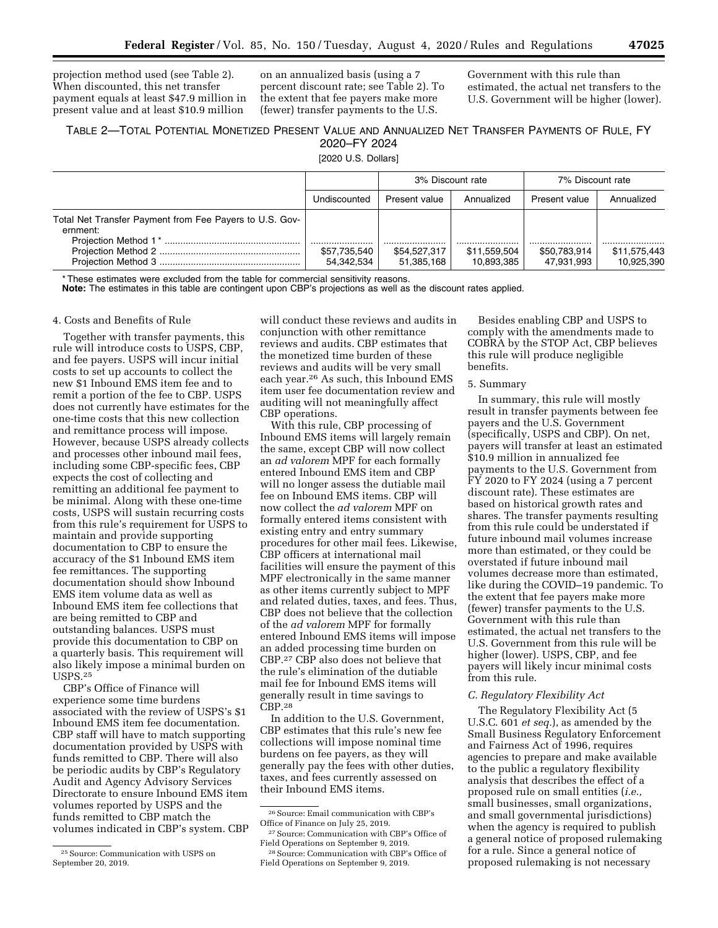projection method used (see Table 2). When discounted, this net transfer payment equals at least \$47.9 million in present value and at least \$10.9 million

on an annualized basis (using a 7 percent discount rate; see Table 2). To the extent that fee payers make more (fewer) transfer payments to the U.S.

Government with this rule than estimated, the actual net transfers to the U.S. Government will be higher (lower).

# TABLE 2—TOTAL POTENTIAL MONETIZED PRESENT VALUE AND ANNUALIZED NET TRANSFER PAYMENTS OF RULE, FY 2020–FY 2024

[2020 U.S. Dollars]

|                                                                     |                            | 3% Discount rate |                            | 7% Discount rate           |                            |
|---------------------------------------------------------------------|----------------------------|------------------|----------------------------|----------------------------|----------------------------|
|                                                                     | Undiscounted               | Present value    | Annualized                 | Present value              | Annualized                 |
| Total Net Transfer Payment from Fee Payers to U.S. Gov-<br>ernment: |                            | \$54,527,317     |                            |                            |                            |
|                                                                     | \$57,735,540<br>54.342.534 | 51,385,168       | \$11,559,504<br>10.893.385 | \$50,783,914<br>47.931.993 | \$11,575,443<br>10.925.390 |

These estimates were excluded from the table for commercial sensitivity reasons.

**Note:** The estimates in this table are contingent upon CBP's projections as well as the discount rates applied.

### 4. Costs and Benefits of Rule

Together with transfer payments, this rule will introduce costs to USPS, CBP, and fee payers. USPS will incur initial costs to set up accounts to collect the new \$1 Inbound EMS item fee and to remit a portion of the fee to CBP. USPS does not currently have estimates for the one-time costs that this new collection and remittance process will impose. However, because USPS already collects and processes other inbound mail fees, including some CBP-specific fees, CBP expects the cost of collecting and remitting an additional fee payment to be minimal. Along with these one-time costs, USPS will sustain recurring costs from this rule's requirement for USPS to maintain and provide supporting documentation to CBP to ensure the accuracy of the \$1 Inbound EMS item fee remittances. The supporting documentation should show Inbound EMS item volume data as well as Inbound EMS item fee collections that are being remitted to CBP and outstanding balances. USPS must provide this documentation to CBP on a quarterly basis. This requirement will also likely impose a minimal burden on USPS.25

CBP's Office of Finance will experience some time burdens associated with the review of USPS's \$1 Inbound EMS item fee documentation. CBP staff will have to match supporting documentation provided by USPS with funds remitted to CBP. There will also be periodic audits by CBP's Regulatory Audit and Agency Advisory Services Directorate to ensure Inbound EMS item volumes reported by USPS and the funds remitted to CBP match the volumes indicated in CBP's system. CBP

will conduct these reviews and audits in conjunction with other remittance reviews and audits. CBP estimates that the monetized time burden of these reviews and audits will be very small each year.26 As such, this Inbound EMS item user fee documentation review and auditing will not meaningfully affect CBP operations.

With this rule, CBP processing of Inbound EMS items will largely remain the same, except CBP will now collect an *ad valorem* MPF for each formally entered Inbound EMS item and CBP will no longer assess the dutiable mail fee on Inbound EMS items. CBP will now collect the *ad valorem* MPF on formally entered items consistent with existing entry and entry summary procedures for other mail fees. Likewise, CBP officers at international mail facilities will ensure the payment of this MPF electronically in the same manner as other items currently subject to MPF and related duties, taxes, and fees. Thus, CBP does not believe that the collection of the *ad valorem* MPF for formally entered Inbound EMS items will impose an added processing time burden on CBP.27 CBP also does not believe that the rule's elimination of the dutiable mail fee for Inbound EMS items will generally result in time savings to CBP.28

In addition to the U.S. Government, CBP estimates that this rule's new fee collections will impose nominal time burdens on fee payers, as they will generally pay the fees with other duties, taxes, and fees currently assessed on their Inbound EMS items.

Besides enabling CBP and USPS to comply with the amendments made to COBRA by the STOP Act, CBP believes this rule will produce negligible benefits.

### 5. Summary

In summary, this rule will mostly result in transfer payments between fee payers and the U.S. Government (specifically, USPS and CBP). On net, payers will transfer at least an estimated \$10.9 million in annualized fee payments to the U.S. Government from FY 2020 to FY 2024 (using a 7 percent discount rate). These estimates are based on historical growth rates and shares. The transfer payments resulting from this rule could be understated if future inbound mail volumes increase more than estimated, or they could be overstated if future inbound mail volumes decrease more than estimated, like during the COVID–19 pandemic. To the extent that fee payers make more (fewer) transfer payments to the U.S. Government with this rule than estimated, the actual net transfers to the U.S. Government from this rule will be higher (lower). USPS, CBP, and fee payers will likely incur minimal costs from this rule.

## *C. Regulatory Flexibility Act*

The Regulatory Flexibility Act (5 U.S.C. 601 *et seq.*), as amended by the Small Business Regulatory Enforcement and Fairness Act of 1996, requires agencies to prepare and make available to the public a regulatory flexibility analysis that describes the effect of a proposed rule on small entities (*i.e.,*  small businesses, small organizations, and small governmental jurisdictions) when the agency is required to publish a general notice of proposed rulemaking for a rule. Since a general notice of proposed rulemaking is not necessary

<sup>25</sup>Source: Communication with USPS on September 20, 2019.

<sup>26</sup>Source: Email communication with CBP's Office of Finance on July 25, 2019.

<sup>27</sup>Source: Communication with CBP's Office of Field Operations on September 9, 2019.

<sup>28</sup>Source: Communication with CBP's Office of Field Operations on September 9, 2019.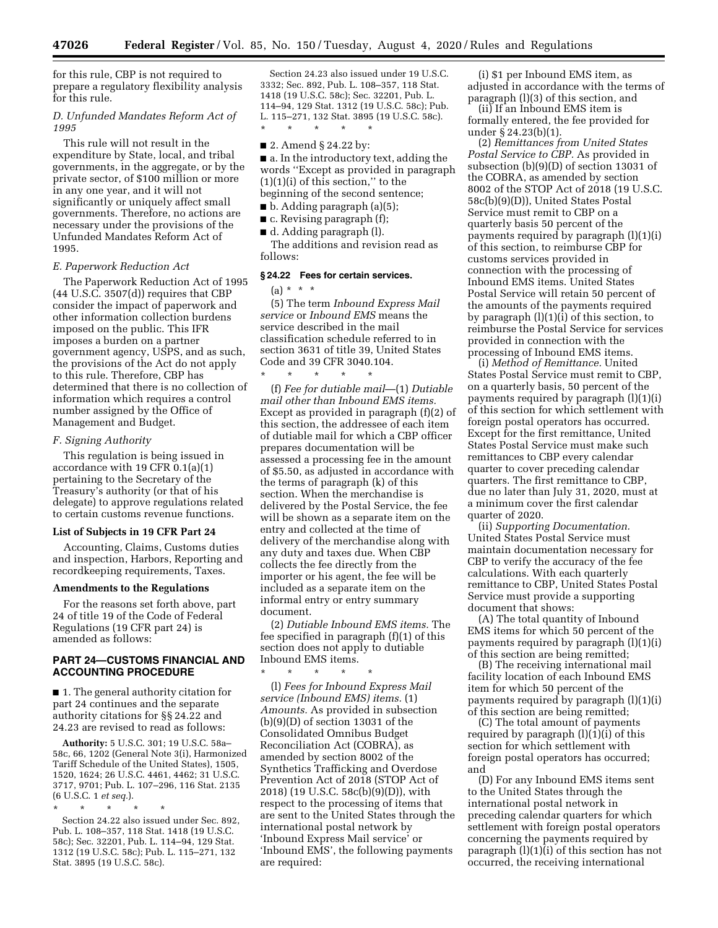for this rule, CBP is not required to prepare a regulatory flexibility analysis for this rule.

## *D. Unfunded Mandates Reform Act of 1995*

This rule will not result in the expenditure by State, local, and tribal governments, in the aggregate, or by the private sector, of \$100 million or more in any one year, and it will not significantly or uniquely affect small governments. Therefore, no actions are necessary under the provisions of the Unfunded Mandates Reform Act of 1995.

### *E. Paperwork Reduction Act*

The Paperwork Reduction Act of 1995 (44 U.S.C. 3507(d)) requires that CBP consider the impact of paperwork and other information collection burdens imposed on the public. This IFR imposes a burden on a partner government agency, USPS, and as such, the provisions of the Act do not apply to this rule. Therefore, CBP has determined that there is no collection of information which requires a control number assigned by the Office of Management and Budget.

#### *F. Signing Authority*

This regulation is being issued in accordance with 19 CFR 0.1(a)(1) pertaining to the Secretary of the Treasury's authority (or that of his delegate) to approve regulations related to certain customs revenue functions.

#### **List of Subjects in 19 CFR Part 24**

Accounting, Claims, Customs duties and inspection, Harbors, Reporting and recordkeeping requirements, Taxes.

#### **Amendments to the Regulations**

For the reasons set forth above, part 24 of title 19 of the Code of Federal Regulations (19 CFR part 24) is amended as follows:

## **PART 24—CUSTOMS FINANCIAL AND ACCOUNTING PROCEDURE**

■ 1. The general authority citation for part 24 continues and the separate authority citations for §§ 24.22 and 24.23 are revised to read as follows:

**Authority:** 5 U.S.C. 301; 19 U.S.C. 58a– 58c, 66, 1202 (General Note 3(i), Harmonized Tariff Schedule of the United States), 1505, 1520, 1624; 26 U.S.C. 4461, 4462; 31 U.S.C. 3717, 9701; Pub. L. 107–296, 116 Stat. 2135 (6 U.S.C. 1 *et seq.*).

\* \* \* \* \* Section 24.22 also issued under Sec. 892, Pub. L. 108–357, 118 Stat. 1418 (19 U.S.C. 58c); Sec. 32201, Pub. L. 114–94, 129 Stat. 1312 (19 U.S.C. 58c); Pub. L. 115–271, 132 Stat. 3895 (19 U.S.C. 58c).

Section 24.23 also issued under 19 U.S.C. 3332; Sec. 892, Pub. L. 108–357, 118 Stat. 1418 (19 U.S.C. 58c); Sec. 32201, Pub. L. 114–94, 129 Stat. 1312 (19 U.S.C. 58c); Pub. L. 115–271, 132 Stat. 3895 (19 U.S.C. 58c). \* \* \* \* \*

### ■ 2. Amend § 24.22 by:

■ a. In the introductory text, adding the words ''Except as provided in paragraph  $(1)(1)(i)$  of this section," to the beginning of the second sentence;

- b. Adding paragraph (a)(5);
- $\blacksquare$  c. Revising paragraph (f);
- d. Adding paragraph (1).

The additions and revision read as follows:

## **§ 24.22 Fees for certain services.**

 $(a) * * * *$ 

(5) The term *Inbound Express Mail service* or *Inbound EMS* means the service described in the mail classification schedule referred to in section 3631 of title 39, United States Code and 39 CFR 3040.104.

\* \* \* \* \* (f) *Fee for dutiable mail*—(1) *Dutiable mail other than Inbound EMS items.*  Except as provided in paragraph (f)(2) of this section, the addressee of each item of dutiable mail for which a CBP officer prepares documentation will be assessed a processing fee in the amount of \$5.50, as adjusted in accordance with the terms of paragraph (k) of this section. When the merchandise is delivered by the Postal Service, the fee will be shown as a separate item on the entry and collected at the time of delivery of the merchandise along with any duty and taxes due. When CBP collects the fee directly from the importer or his agent, the fee will be included as a separate item on the informal entry or entry summary document.

(2) *Dutiable Inbound EMS items.* The fee specified in paragraph (f)(1) of this section does not apply to dutiable Inbound EMS items.

\* \* \* \* \*

(l) *Fees for Inbound Express Mail service (Inbound EMS) items.* (1) *Amounts.* As provided in subsection (b)(9)(D) of section 13031 of the Consolidated Omnibus Budget Reconciliation Act (COBRA), as amended by section 8002 of the Synthetics Trafficking and Overdose Prevention Act of 2018 (STOP Act of 2018) (19 U.S.C. 58c(b)(9)(D)), with respect to the processing of items that are sent to the United States through the international postal network by 'Inbound Express Mail service' or 'Inbound EMS', the following payments are required:

(i) \$1 per Inbound EMS item, as adjusted in accordance with the terms of paragraph (l)(3) of this section, and

(ii) If an Inbound EMS item is formally entered, the fee provided for under § 24.23(b)(1).

(2) *Remittances from United States Postal Service to CBP.* As provided in subsection (b)(9)(D) of section 13031 of the COBRA, as amended by section 8002 of the STOP Act of 2018 (19 U.S.C. 58c(b)(9)(D)), United States Postal Service must remit to CBP on a quarterly basis 50 percent of the payments required by paragraph (l)(1)(i) of this section, to reimburse CBP for customs services provided in connection with the processing of Inbound EMS items. United States Postal Service will retain 50 percent of the amounts of the payments required by paragraph (l)(1)(i) of this section, to reimburse the Postal Service for services provided in connection with the processing of Inbound EMS items.

(i) *Method of Remittance.* United States Postal Service must remit to CBP, on a quarterly basis, 50 percent of the payments required by paragraph (l)(1)(i) of this section for which settlement with foreign postal operators has occurred. Except for the first remittance, United States Postal Service must make such remittances to CBP every calendar quarter to cover preceding calendar quarters. The first remittance to CBP, due no later than July 31, 2020, must at a minimum cover the first calendar quarter of 2020.

(ii) *Supporting Documentation.*  United States Postal Service must maintain documentation necessary for CBP to verify the accuracy of the fee calculations. With each quarterly remittance to CBP, United States Postal Service must provide a supporting document that shows:

(A) The total quantity of Inbound EMS items for which 50 percent of the payments required by paragraph (l)(1)(i) of this section are being remitted;

(B) The receiving international mail facility location of each Inbound EMS item for which 50 percent of the payments required by paragraph (l)(1)(i) of this section are being remitted;

(C) The total amount of payments required by paragraph (l)(1)(i) of this section for which settlement with foreign postal operators has occurred; and

(D) For any Inbound EMS items sent to the United States through the international postal network in preceding calendar quarters for which settlement with foreign postal operators concerning the payments required by paragraph (l)(1)(i) of this section has not occurred, the receiving international